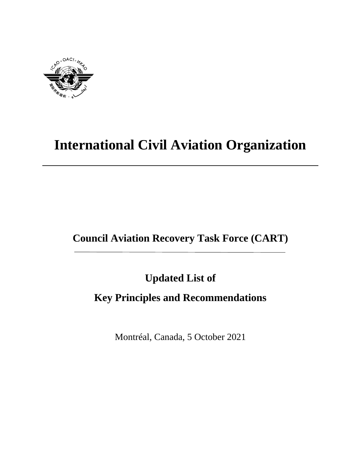

# **International Civil Aviation Organization**

# **Council Aviation Recovery Task Force (CART)**

**Updated List of** 

## **Key Principles and Recommendations**

Montréal, Canada, 5 October 2021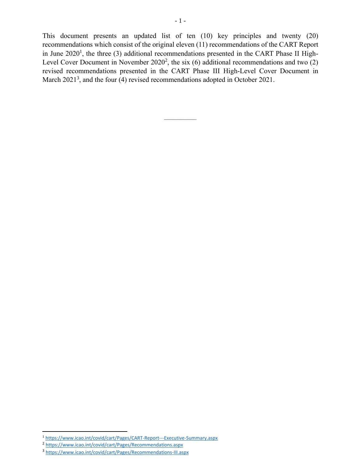This document presents an updated list of ten (10) key principles and twenty (20) recommendations which consist of the original eleven (11) recommendations of the CART Report in June 2020<sup>1</sup>, the three (3) additional recommendations presented in the CART Phase II High-Level Cover Document in November  $2020^2$ , the six (6) additional recommendations and two (2) revised recommendations presented in the CART Phase III High-Level Cover Document in March  $2021<sup>3</sup>$ , and the four (4) revised recommendations adopted in October 2021.

 $-\frac{1}{2}$ 

l

<sup>&</sup>lt;sup>1</sup> <https://www.icao.int/covid/cart/Pages/CART-Report---Executive-Summary.aspx>

<sup>2</sup> <https://www.icao.int/covid/cart/Pages/Recommendations.aspx>

<sup>3</sup> <https://www.icao.int/covid/cart/Pages/Recommendations-III.aspx>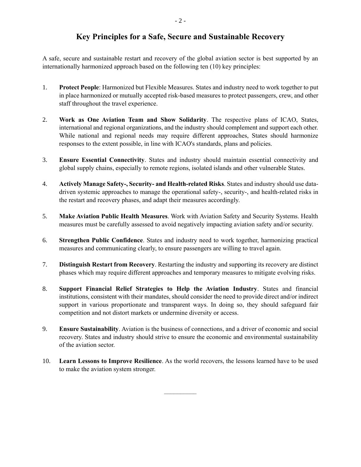### **Key Principles for a Safe, Secure and Sustainable Recovery**

A safe, secure and sustainable restart and recovery of the global aviation sector is best supported by an internationally harmonized approach based on the following ten (10) key principles:

- 1. **Protect People**: Harmonized but Flexible Measures. States and industry need to work together to put in place harmonized or mutually accepted risk-based measures to protect passengers, crew, and other staff throughout the travel experience.
- 2. **Work as One Aviation Team and Show Solidarity**. The respective plans of ICAO, States, international and regional organizations, and the industry should complement and support each other. While national and regional needs may require different approaches, States should harmonize responses to the extent possible, in line with ICAO's standards, plans and policies.
- 3. **Ensure Essential Connectivity**. States and industry should maintain essential connectivity and global supply chains, especially to remote regions, isolated islands and other vulnerable States.
- 4. **Actively Manage Safety-, Security- and Health-related Risks**. States and industry should use datadriven systemic approaches to manage the operational safety-, security-, and health-related risks in the restart and recovery phases, and adapt their measures accordingly.
- 5. **Make Aviation Public Health Measures**. Work with Aviation Safety and Security Systems. Health measures must be carefully assessed to avoid negatively impacting aviation safety and/or security.
- 6. **Strengthen Public Confidence**. States and industry need to work together, harmonizing practical measures and communicating clearly, to ensure passengers are willing to travel again.
- 7. **Distinguish Restart from Recovery**. Restarting the industry and supporting its recovery are distinct phases which may require different approaches and temporary measures to mitigate evolving risks.
- 8. **Support Financial Relief Strategies to Help the Aviation Industry**. States and financial institutions, consistent with their mandates, should consider the need to provide direct and/or indirect support in various proportionate and transparent ways. In doing so, they should safeguard fair competition and not distort markets or undermine diversity or access.
- 9. **Ensure Sustainability**. Aviation is the business of connections, and a driver of economic and social recovery. States and industry should strive to ensure the economic and environmental sustainability of the aviation sector.
- 10. **Learn Lessons to Improve Resilience**. As the world recovers, the lessons learned have to be used to make the aviation system stronger.

 $-\frac{1}{2}$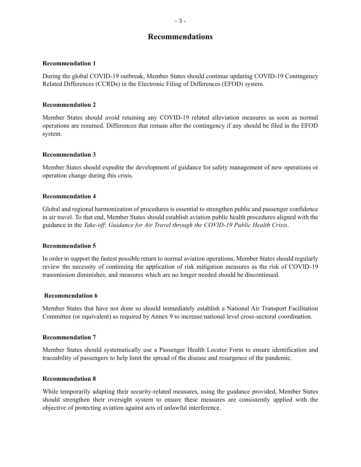### **Recommendations**

#### **Recommendation 1**

During the global COVID-19 outbreak, Member States should continue updating COVID-19 Contingency Related Differences (CCRDs) in the Electronic Filing of Differences (EFOD) system.

#### **Recommendation 2**

Member States should avoid retaining any COVID-19 related alleviation measures as soon as normal operations are resumed. Differences that remain after the contingency if any should be filed in the EFOD system.

#### **Recommendation 3**

Member States should expedite the development of guidance for safety management of new operations or operation change during this crisis.

#### **Recommendation 4**

Global and regional harmonization of procedures is essential to strengthen public and passenger confidence in air travel. To that end, Member States should establish aviation public health procedures aligned with the guidance in the *Take-off: Guidance for Air Travel through the COVID-19 Public Health Crisis*.

#### **Recommendation 5**

In order to support the fastest possible return to normal aviation operations, Member States should regularly review the necessity of continuing the application of risk mitigation measures as the risk of COVID-19 transmission diminishes; and measures which are no longer needed should be discontinued.

#### **Recommendation 6**

Member States that have not done so should immediately establish a National Air Transport Facilitation Committee (or equivalent) as required by Annex 9 to increase national level cross-sectoral coordination.

#### **Recommendation 7**

Member States should systematically use a Passenger Health Locator Form to ensure identification and traceability of passengers to help limit the spread of the disease and resurgence of the pandemic.

#### **Recommendation 8**

While temporarily adapting their security-related measures, using the guidance provided, Member States should strengthen their oversight system to ensure these measures are consistently applied with the objective of protecting aviation against acts of unlawful interference.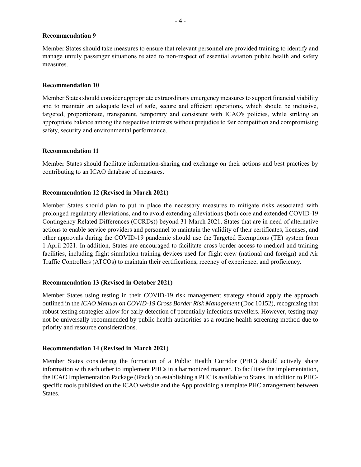#### **Recommendation 9**

Member States should take measures to ensure that relevant personnel are provided training to identify and manage unruly passenger situations related to non-respect of essential aviation public health and safety measures.

#### **Recommendation 10**

Member States should consider appropriate extraordinary emergency measures to support financial viability and to maintain an adequate level of safe, secure and efficient operations, which should be inclusive, targeted, proportionate, transparent, temporary and consistent with ICAO's policies, while striking an appropriate balance among the respective interests without prejudice to fair competition and compromising safety, security and environmental performance.

#### **Recommendation 11**

Member States should facilitate information-sharing and exchange on their actions and best practices by contributing to an ICAO database of measures.

#### **Recommendation 12 (Revised in March 2021)**

Member States should plan to put in place the necessary measures to mitigate risks associated with prolonged regulatory alleviations, and to avoid extending alleviations (both core and extended COVID-19 Contingency Related Differences (CCRDs)) beyond 31 March 2021. States that are in need of alternative actions to enable service providers and personnel to maintain the validity of their certificates, licenses, and other approvals during the COVID-19 pandemic should use the Targeted Exemptions (TE) system from 1 April 2021. In addition, States are encouraged to facilitate cross-border access to medical and training facilities, including flight simulation training devices used for flight crew (national and foreign) and Air Traffic Controllers (ATCOs) to maintain their certifications, recency of experience, and proficiency.

#### **Recommendation 13 (Revised in October 2021)**

Member States using testing in their COVID-19 risk management strategy should apply the approach outlined in the *ICAO Manual on COVID-19 Cross Border Risk Management* (Doc 10152), recognizing that robust testing strategies allow for early detection of potentially infectious travellers. However, testing may not be universally recommended by public health authorities as a routine health screening method due to priority and resource considerations.

#### **Recommendation 14 (Revised in March 2021)**

Member States considering the formation of a Public Health Corridor (PHC) should actively share information with each other to implement PHCs in a harmonized manner. To facilitate the implementation, the ICAO Implementation Package (iPack) on establishing a PHC is available to States, in addition to PHCspecific tools published on the ICAO website and the App providing a template PHC arrangement between States.